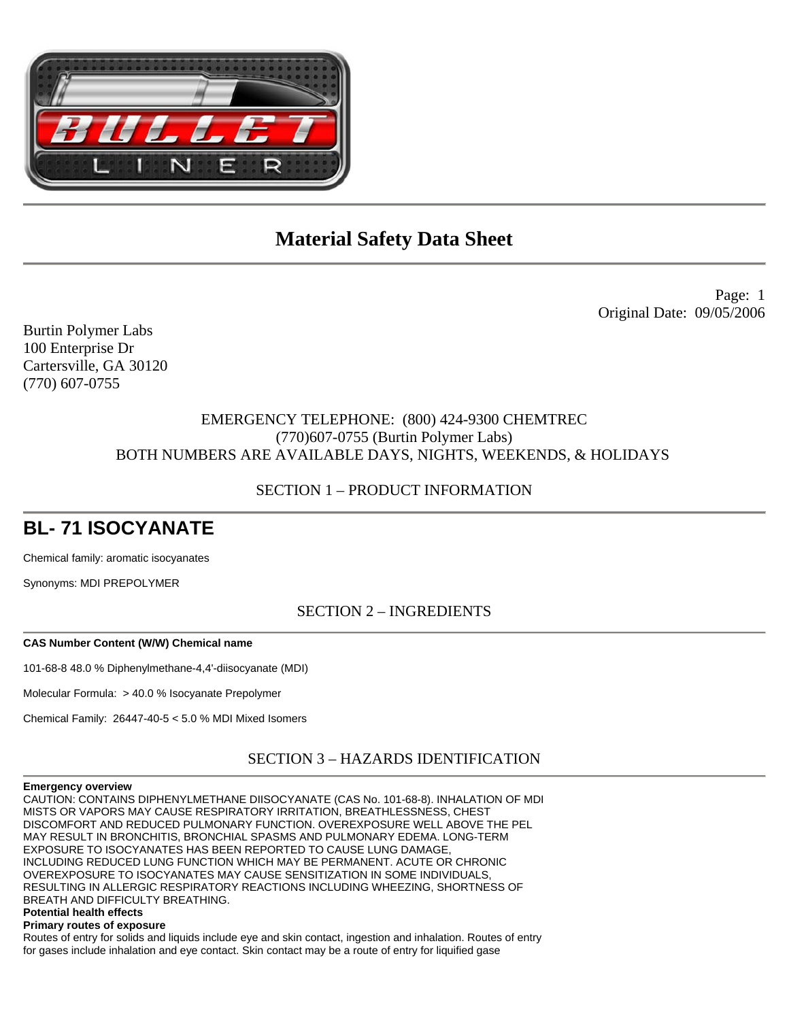

Page: 1 Original Date: 09/05/2006

Burtin Polymer Labs 100 Enterprise Dr Cartersville, GA 30120 (770) 607-0755

# EMERGENCY TELEPHONE: (800) 424-9300 CHEMTREC (770)607-0755 (Burtin Polymer Labs) BOTH NUMBERS ARE AVAILABLE DAYS, NIGHTS, WEEKENDS, & HOLIDAYS

# SECTION 1 – PRODUCT INFORMATION

# **BL- 71 ISOCYANATE**

Chemical family: aromatic isocyanates

Synonyms: MDI PREPOLYMER

SECTION 2 – INGREDIENTS

## **CAS Number Content (W/W) Chemical name**

101-68-8 48.0 % Diphenylmethane-4,4'-diisocyanate (MDI)

Molecular Formula: > 40.0 % Isocyanate Prepolymer

Chemical Family: 26447-40-5 < 5.0 % MDI Mixed Isomers

SECTION 3 – HAZARDS IDENTIFICATION

## **Emergency overview**

CAUTION: CONTAINS DIPHENYLMETHANE DIISOCYANATE (CAS No. 101-68-8). INHALATION OF MDI MISTS OR VAPORS MAY CAUSE RESPIRATORY IRRITATION, BREATHLESSNESS, CHEST DISCOMFORT AND REDUCED PULMONARY FUNCTION. OVEREXPOSURE WELL ABOVE THE PEL MAY RESULT IN BRONCHITIS, BRONCHIAL SPASMS AND PULMONARY EDEMA. LONG-TERM EXPOSURE TO ISOCYANATES HAS BEEN REPORTED TO CAUSE LUNG DAMAGE, INCLUDING REDUCED LUNG FUNCTION WHICH MAY BE PERMANENT. ACUTE OR CHRONIC OVEREXPOSURE TO ISOCYANATES MAY CAUSE SENSITIZATION IN SOME INDIVIDUALS, RESULTING IN ALLERGIC RESPIRATORY REACTIONS INCLUDING WHEEZING, SHORTNESS OF BREATH AND DIFFICULTY BREATHING.

# **Potential health effects**

**Primary routes of exposure** 

Routes of entry for solids and liquids include eye and skin contact, ingestion and inhalation. Routes of entry for gases include inhalation and eye contact. Skin contact may be a route of entry for liquified gase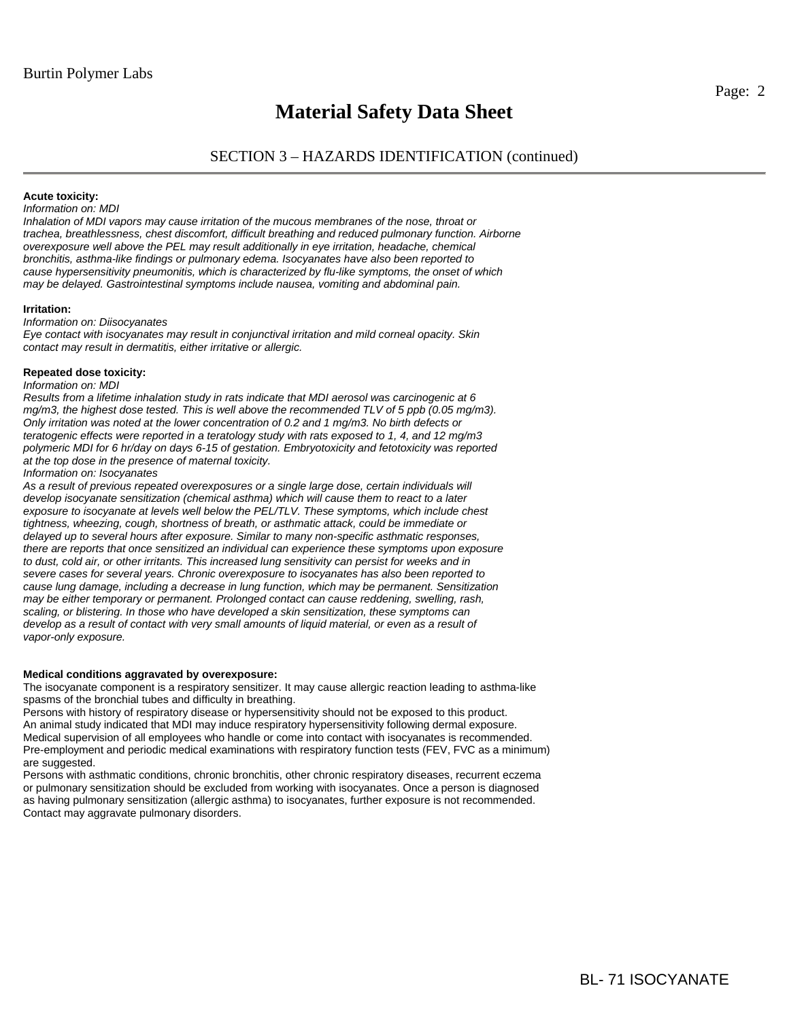# SECTION 3 – HAZARDS IDENTIFICATION (continued)

### **Acute toxicity:**

### *Information on: MDI*

*Inhalation of MDI vapors may cause irritation of the mucous membranes of the nose, throat or trachea, breathlessness, chest discomfort, difficult breathing and reduced pulmonary function. Airborne overexposure well above the PEL may result additionally in eye irritation, headache, chemical bronchitis, asthma-like findings or pulmonary edema. Isocyanates have also been reported to cause hypersensitivity pneumonitis, which is characterized by flu-like symptoms, the onset of which may be delayed. Gastrointestinal symptoms include nausea, vomiting and abdominal pain.* 

#### **Irritation:**

#### *Information on: Diisocyanates*

*Eye contact with isocyanates may result in conjunctival irritation and mild corneal opacity. Skin contact may result in dermatitis, either irritative or allergic.* 

#### **Repeated dose toxicity:**

### *Information on: MDI*

*Results from a lifetime inhalation study in rats indicate that MDI aerosol was carcinogenic at 6 mg/m3, the highest dose tested. This is well above the recommended TLV of 5 ppb (0.05 mg/m3). Only irritation was noted at the lower concentration of 0.2 and 1 mg/m3. No birth defects or teratogenic effects were reported in a teratology study with rats exposed to 1, 4, and 12 mg/m3 polymeric MDI for 6 hr/day on days 6-15 of gestation. Embryotoxicity and fetotoxicity was reported at the top dose in the presence of maternal toxicity.* 

#### *Information on: Isocyanates*

*As a result of previous repeated overexposures or a single large dose, certain individuals will develop isocyanate sensitization (chemical asthma) which will cause them to react to a later exposure to isocyanate at levels well below the PEL/TLV. These symptoms, which include chest tightness, wheezing, cough, shortness of breath, or asthmatic attack, could be immediate or delayed up to several hours after exposure. Similar to many non-specific asthmatic responses, there are reports that once sensitized an individual can experience these symptoms upon exposure to dust, cold air, or other irritants. This increased lung sensitivity can persist for weeks and in severe cases for several years. Chronic overexposure to isocyanates has also been reported to cause lung damage, including a decrease in lung function, which may be permanent. Sensitization may be either temporary or permanent. Prolonged contact can cause reddening, swelling, rash, scaling, or blistering. In those who have developed a skin sensitization, these symptoms can*  develop as a result of contact with very small amounts of liquid material, or even as a result of *vapor-only exposure.* 

### **Medical conditions aggravated by overexposure:**

The isocyanate component is a respiratory sensitizer. It may cause allergic reaction leading to asthma-like spasms of the bronchial tubes and difficulty in breathing.

Persons with history of respiratory disease or hypersensitivity should not be exposed to this product. An animal study indicated that MDI may induce respiratory hypersensitivity following dermal exposure. Medical supervision of all employees who handle or come into contact with isocyanates is recommended. Pre-employment and periodic medical examinations with respiratory function tests (FEV, FVC as a minimum) are suggested.

Persons with asthmatic conditions, chronic bronchitis, other chronic respiratory diseases, recurrent eczema or pulmonary sensitization should be excluded from working with isocyanates. Once a person is diagnosed as having pulmonary sensitization (allergic asthma) to isocyanates, further exposure is not recommended. Contact may aggravate pulmonary disorders.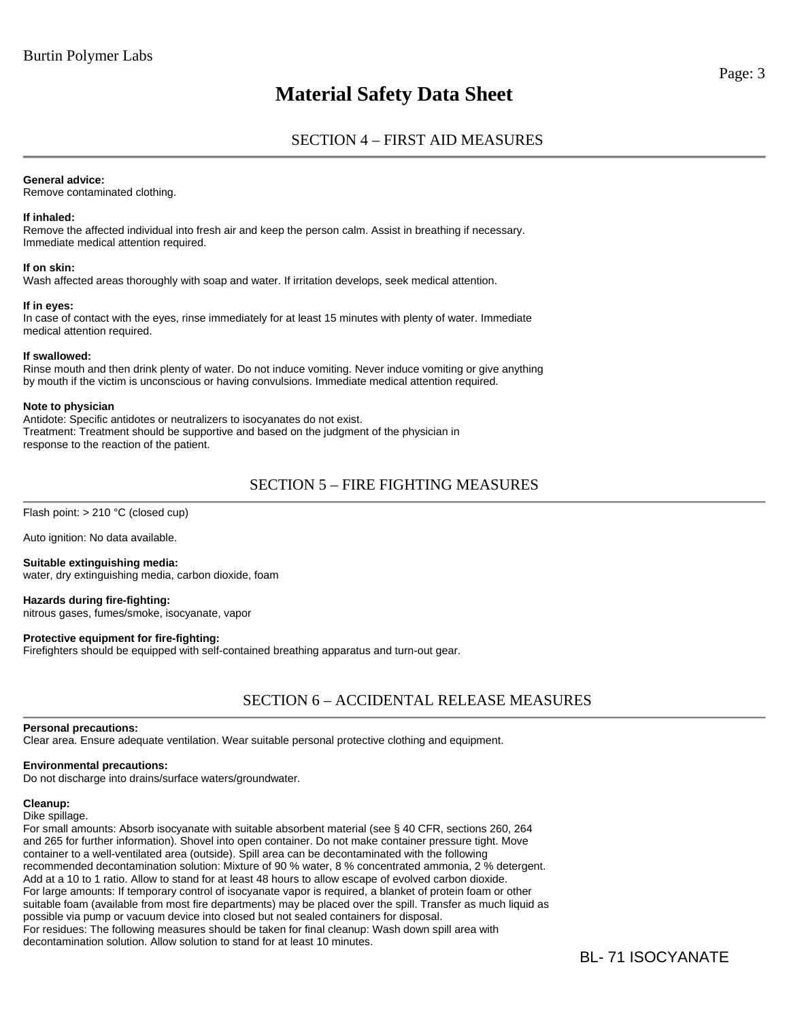# SECTION 4 – FIRST AID MEASURES

## **General advice:**

Remove contaminated clothing.

## **If inhaled:**

Remove the affected individual into fresh air and keep the person calm. Assist in breathing if necessary. Immediate medical attention required.

### **If on skin:**

Wash affected areas thoroughly with soap and water. If irritation develops, seek medical attention.

## **If in eyes:**

In case of contact with the eyes, rinse immediately for at least 15 minutes with plenty of water. Immediate medical attention required.

### **If swallowed:**

Rinse mouth and then drink plenty of water. Do not induce vomiting. Never induce vomiting or give anything by mouth if the victim is unconscious or having convulsions. Immediate medical attention required.

### **Note to physician**

Antidote: Specific antidotes or neutralizers to isocyanates do not exist. Treatment: Treatment should be supportive and based on the judgment of the physician in response to the reaction of the patient.

# SECTION 5 – FIRE FIGHTING MEASURES

Flash point: > 210 °C (closed cup)

Auto ignition: No data available.

**Suitable extinguishing media:**  water, dry extinguishing media, carbon dioxide, foam

**Hazards during fire-fighting:**  nitrous gases, fumes/smoke, isocyanate, vapor

## **Protective equipment for fire-fighting:**

Firefighters should be equipped with self-contained breathing apparatus and turn-out gear.

# SECTION 6 – ACCIDENTAL RELEASE MEASURES

## **Personal precautions:**

Clear area. Ensure adequate ventilation. Wear suitable personal protective clothing and equipment.

## **Environmental precautions:**

Do not discharge into drains/surface waters/groundwater.

## **Cleanup:**

Dike spillage.

For small amounts: Absorb isocyanate with suitable absorbent material (see § 40 CFR, sections 260, 264 and 265 for further information). Shovel into open container. Do not make container pressure tight. Move container to a well-ventilated area (outside). Spill area can be decontaminated with the following recommended decontamination solution: Mixture of 90 % water, 8 % concentrated ammonia, 2 % detergent. Add at a 10 to 1 ratio. Allow to stand for at least 48 hours to allow escape of evolved carbon dioxide. For large amounts: If temporary control of isocyanate vapor is required, a blanket of protein foam or other suitable foam (available from most fire departments) may be placed over the spill. Transfer as much liquid as possible via pump or vacuum device into closed but not sealed containers for disposal. For residues: The following measures should be taken for final cleanup: Wash down spill area with decontamination solution. Allow solution to stand for at least 10 minutes.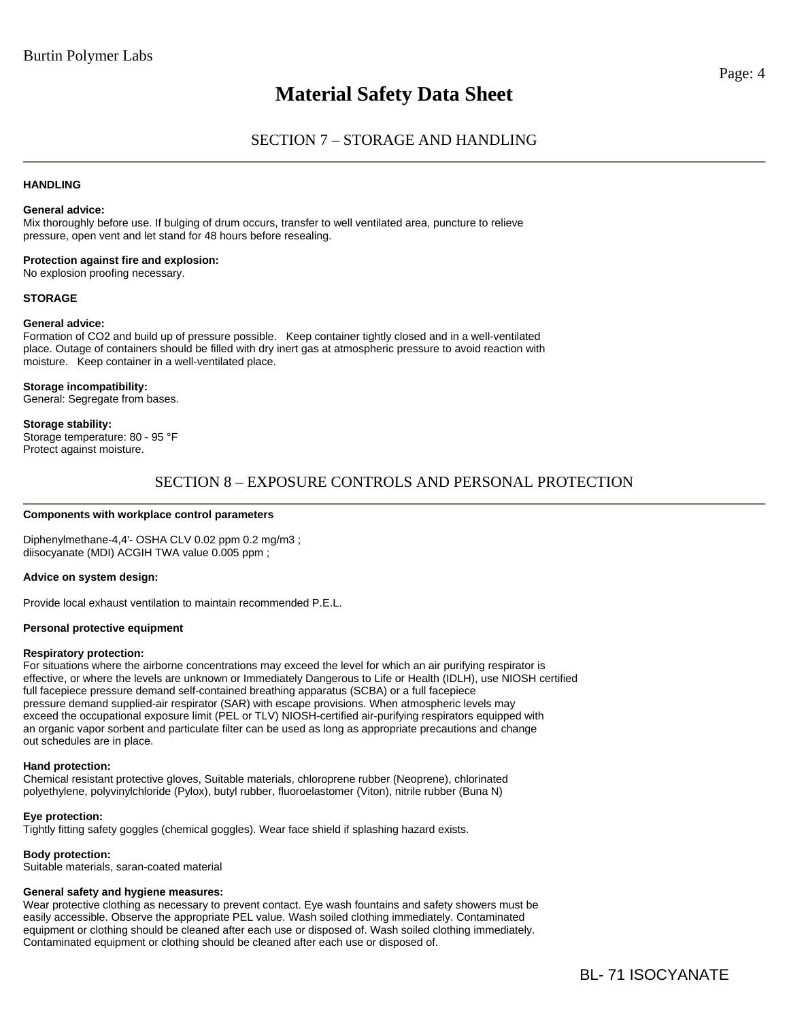## **HANDLING**

## **General advice:**

Mix thoroughly before use. If bulging of drum occurs, transfer to well ventilated area, puncture to relieve pressure, open vent and let stand for 48 hours before resealing.

**Protection against fire and explosion:**  No explosion proofing necessary.

#### **STORAGE**

#### **General advice:**

Formation of CO2 and build up of pressure possible. Keep container tightly closed and in a well-ventilated place. Outage of containers should be filled with dry inert gas at atmospheric pressure to avoid reaction with moisture. Keep container in a well-ventilated place.

**Storage incompatibility:**  General: Segregate from bases.

#### **Storage stability:**

Storage temperature: 80 - 95 °F Protect against moisture.

## SECTION 8 – EXPOSURE CONTROLS AND PERSONAL PROTECTION

#### **Components with workplace control parameters**

Diphenylmethane-4,4'- OSHA CLV 0.02 ppm 0.2 mg/m3 ; diisocyanate (MDI) ACGIH TWA value 0.005 ppm ;

#### **Advice on system design:**

Provide local exhaust ventilation to maintain recommended P.E.L.

#### **Personal protective equipment**

#### **Respiratory protection:**

For situations where the airborne concentrations may exceed the level for which an air purifying respirator is effective, or where the levels are unknown or Immediately Dangerous to Life or Health (IDLH), use NIOSH certified full facepiece pressure demand self-contained breathing apparatus (SCBA) or a full facepiece pressure demand supplied-air respirator (SAR) with escape provisions. When atmospheric levels may exceed the occupational exposure limit (PEL or TLV) NIOSH-certified air-purifying respirators equipped with an organic vapor sorbent and particulate filter can be used as long as appropriate precautions and change out schedules are in place.

#### **Hand protection:**

Chemical resistant protective gloves, Suitable materials, chloroprene rubber (Neoprene), chlorinated polyethylene, polyvinylchloride (Pylox), butyl rubber, fluoroelastomer (Viton), nitrile rubber (Buna N)

#### **Eye protection:**

Tightly fitting safety goggles (chemical goggles). Wear face shield if splashing hazard exists.

## **Body protection:**

Suitable materials, saran-coated material

## **General safety and hygiene measures:**

Wear protective clothing as necessary to prevent contact. Eye wash fountains and safety showers must be easily accessible. Observe the appropriate PEL value. Wash soiled clothing immediately. Contaminated equipment or clothing should be cleaned after each use or disposed of. Wash soiled clothing immediately. Contaminated equipment or clothing should be cleaned after each use or disposed of.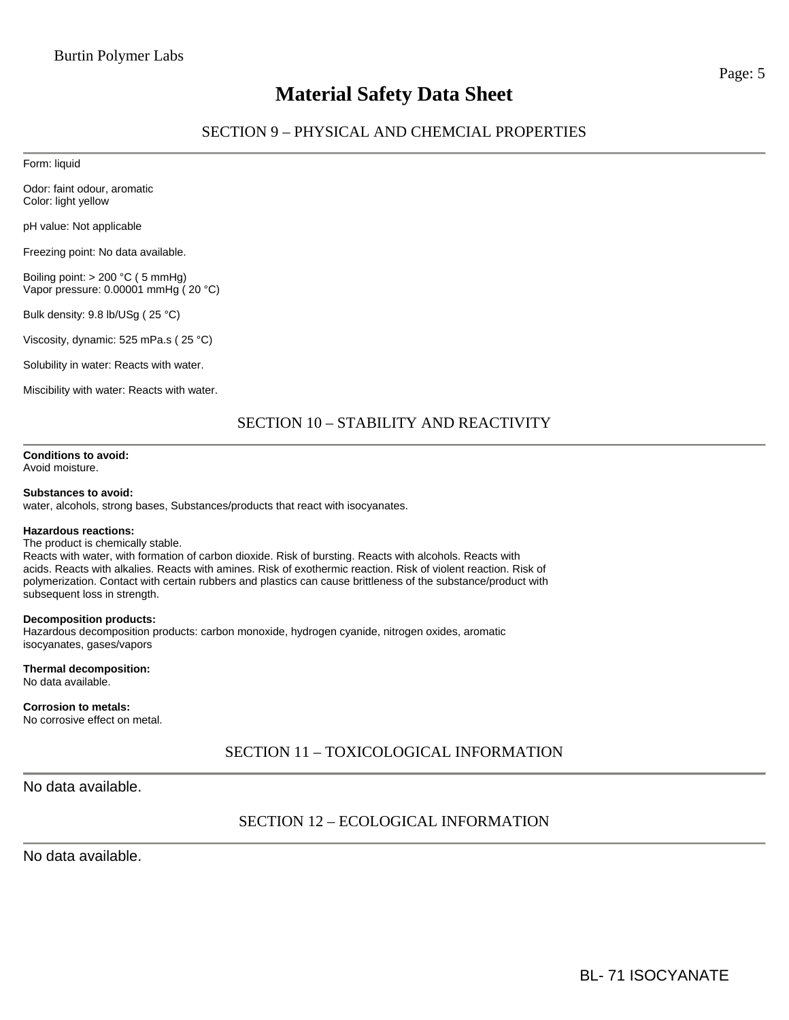# SECTION 9 – PHYSICAL AND CHEMCIAL PROPERTIES

Form: liquid

Odor: faint odour, aromatic Color: light yellow

pH value: Not applicable

Freezing point: No data available.

Boiling point: > 200 °C ( 5 mmHg) Vapor pressure: 0.00001 mmHg ( 20 °C)

Bulk density: 9.8 lb/USg ( 25 °C)

Viscosity, dynamic: 525 mPa.s ( 25 °C)

Solubility in water: Reacts with water.

Miscibility with water: Reacts with water.

# SECTION 10 – STABILITY AND REACTIVITY

**Conditions to avoid:** 

Avoid moisture.

## **Substances to avoid:**

water, alcohols, strong bases, Substances/products that react with isocyanates.

#### **Hazardous reactions:**

#### The product is chemically stable.

Reacts with water, with formation of carbon dioxide. Risk of bursting. Reacts with alcohols. Reacts with acids. Reacts with alkalies. Reacts with amines. Risk of exothermic reaction. Risk of violent reaction. Risk of polymerization. Contact with certain rubbers and plastics can cause brittleness of the substance/product with subsequent loss in strength.

#### **Decomposition products:**

Hazardous decomposition products: carbon monoxide, hydrogen cyanide, nitrogen oxides, aromatic isocyanates, gases/vapors

**Thermal decomposition:**  No data available.

## **Corrosion to metals:**

No corrosive effect on metal.

## SECTION 11 – TOXICOLOGICAL INFORMATION

No data available.

# SECTION 12 – ECOLOGICAL INFORMATION

No data available.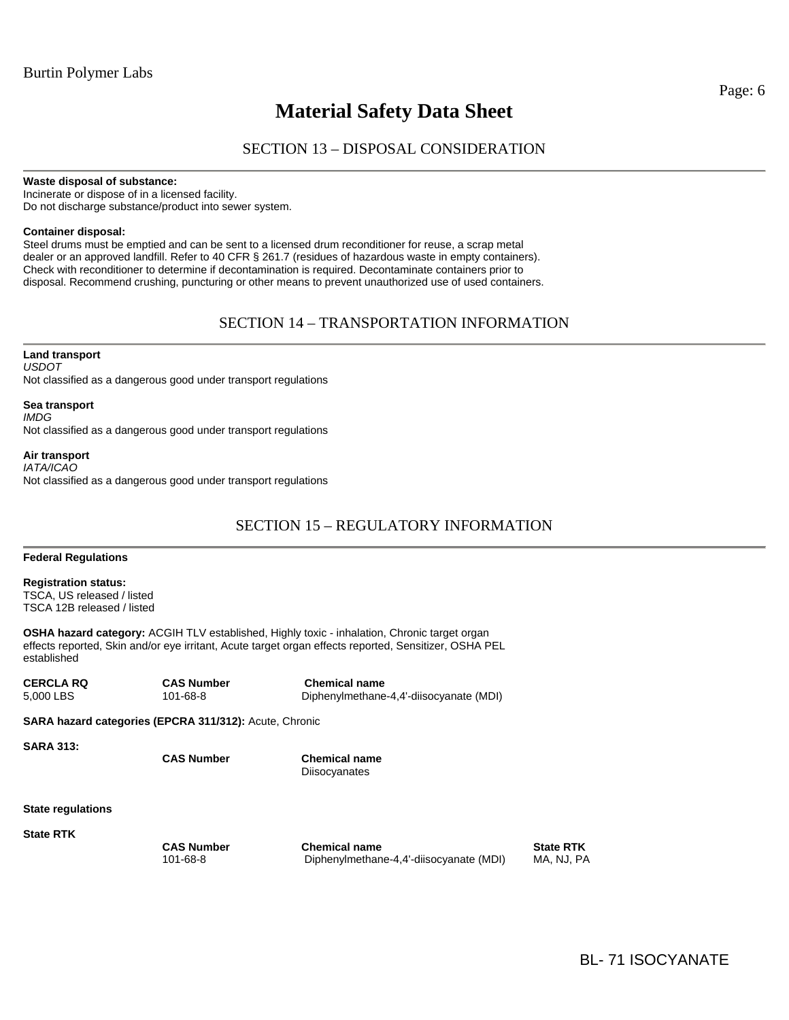# SECTION 13 – DISPOSAL CONSIDERATION

**Waste disposal of substance:** 

Incinerate or dispose of in a licensed facility. Do not discharge substance/product into sewer system.

## **Container disposal:**

Steel drums must be emptied and can be sent to a licensed drum reconditioner for reuse, a scrap metal dealer or an approved landfill. Refer to 40 CFR § 261.7 (residues of hazardous waste in empty containers). Check with reconditioner to determine if decontamination is required. Decontaminate containers prior to disposal. Recommend crushing, puncturing or other means to prevent unauthorized use of used containers.

# SECTION 14 – TRANSPORTATION INFORMATION

**Land transport**  *USDOT*  Not classified as a dangerous good under transport regulations

**Sea transport**  *IMDG*  Not classified as a dangerous good under transport regulations

**Air transport**  *IATA/ICAO*  Not classified as a dangerous good under transport regulations

# SECTION 15 – REGULATORY INFORMATION

**Federal Regulations** 

**Registration status:**  TSCA, US released / listed TSCA 12B released / listed

**OSHA hazard category:** ACGIH TLV established, Highly toxic - inhalation, Chronic target organ effects reported, Skin and/or eye irritant, Acute target organ effects reported, Sensitizer, OSHA PEL established

**CERCLA RQ CAS Number Chemical name**  5,000 LBS 101-68-8 Diphenylmethane-4,4'-diisocyanate (MDI)

**SARA hazard categories (EPCRA 311/312):** Acute, Chronic

**SARA 313:** 

 **CAS Number Chemical name Diisocyanates** 

**State regulations** 

**State RTK** 

**CAS Number Chemical name Chemical name State RTK** 101-68-8 Diphenylmethane-4,4'-diisocyanate (MDI) MA, NJ, PA

Page: 6